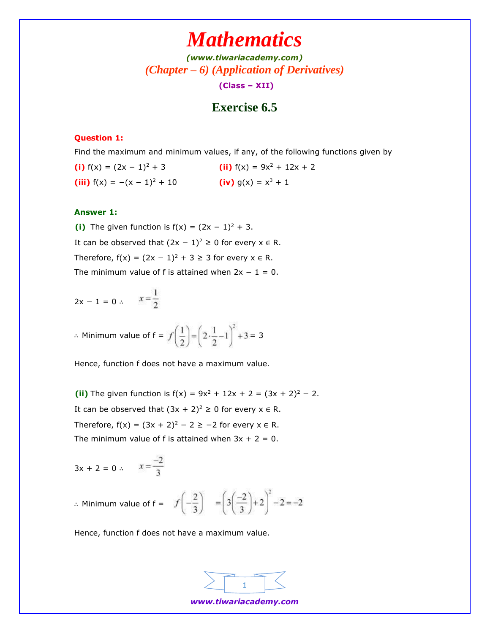*[\(www.tiwariacademy.com\)](http://www.tiwariacademy.com/) (Chapter – 6) (Application of Derivatives)* **(Class – XII)**

## **Exercise 6.5**

#### **Question 1:**

Find the maximum and minimum values, if any, of the following functions given by

**(i)**  $f(x) = (2x - 1)^2 + 3$  **(ii)**  $f(x) = 9x^2 + 12x + 2$ **(iii)**  $f(x) = -(x - 1)^2 + 10$  **(iv)**  $g(x) = x^3 + 1$ 

#### **Answer 1:**

**(i)** The given function is  $f(x) = (2x - 1)^2 + 3$ . It can be observed that  $(2x - 1)^2 \ge 0$  for every  $x \in R$ . Therefore,  $f(x) = (2x - 1)^2 + 3 \ge 3$  for every  $x \in R$ . The minimum value of f is attained when  $2x - 1 = 0$ .

$$
2x - 1 = 0 \therefore \qquad x = \frac{1}{2}
$$

∴ Minimum value of  $f = f\left(\frac{1}{2}\right) = \left(2 \cdot \frac{1}{2} - 1\right)^2 + 3 = 3$ 

Hence, function f does not have a maximum value.

**(ii)** The given function is  $f(x) = 9x^2 + 12x + 2 = (3x + 2)^2 - 2$ . It can be observed that  $(3x + 2)^2 \ge 0$  for every  $x \in R$ . Therefore,  $f(x) = (3x + 2)^2 - 2 \ge -2$  for every  $x \in R$ . The minimum value of f is attained when  $3x + 2 = 0$ .

$$
3x + 2 = 0 \therefore \qquad x = \frac{-2}{3}
$$

∴ Minimum value of f =  $f\left(-\frac{2}{3}\right) = \left(3\left(\frac{-2}{3}\right)+2\right)^2-2=-2$ 

Hence, function f does not have a maximum value.



*www.tiwariacademy.com*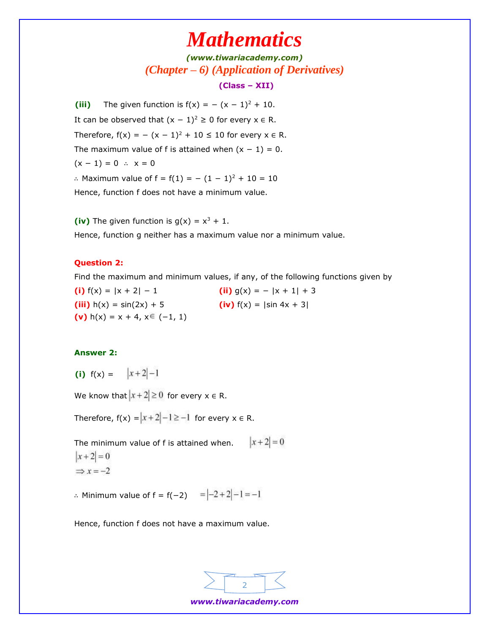*[\(www.tiwariacademy.com\)](http://www.tiwariacademy.com/) (Chapter – 6) (Application of Derivatives)* **(Class – XII)**

**(iii)** The given function is  $f(x) = -(x - 1)^2 + 10$ . It can be observed that  $(x - 1)^2 \ge 0$  for every  $x \in R$ . Therefore,  $f(x) = -(x - 1)^2 + 10 ≤ 10$  for every  $x ∈ R$ . The maximum value of f is attained when  $(x - 1) = 0$ .  $(x - 1) = 0$  ∴  $x = 0$ ∴ Maximum value of  $f = f(1) = -(1 - 1)^2 + 10 = 10$ Hence, function f does not have a minimum value.

(iv) The given function is  $g(x) = x^3 + 1$ .

Hence, function g neither has a maximum value nor a minimum value.

#### **Question 2:**

Find the maximum and minimum values, if any, of the following functions given by

**(i)**  $f(x) = |x + 2| - 1$  **(ii)**  $g(x) = - |x + 1| + 3$ **(iii)**  $h(x) = \sin(2x) + 5$  **(iv)**  $f(x) = |\sin 4x + 3|$ **(v)** h(x) = x + 4,  $x \in (-1, 1)$ 

#### **Answer 2:**

(i)  $f(x) = |x+2|-1$ 

We know that  $|x+2| \ge 0$  for every  $x \in R$ .

Therefore,  $f(x) = |x + 2| - 1 \ge -1$  for every  $x \in R$ .

 $|x+2|=0$ The minimum value of f is attained when.  $|x+2|=0$  $\Rightarrow$  x = -2

∴ Minimum value of  $f = f(-2) = |-2 + 2| - 1 = -1$ 

Hence, function f does not have a maximum value.



*www.tiwariacademy.com*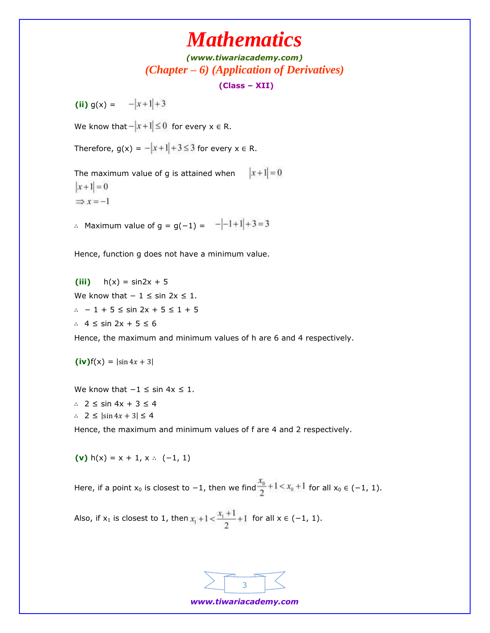*[\(www.tiwariacademy.com\)](http://www.tiwariacademy.com/) (Chapter – 6) (Application of Derivatives)*

**(Class – XII)**

**(ii)**  $g(x) = -|x+1|+3$ 

We know that  $-\left|x+1\right|\leq 0$  for every  $x \in R$ .

Therefore,  $g(x) = -|x+1|+3 \le 3$  for every  $x \in R$ .

 $|x+1|=0$ The maximum value of g is attained when  $|x+1|=0$  $\Rightarrow$  x = -1

∴ Maximum value of  $g = g(-1) = -(-1+1)+3=3$ 

Hence, function g does not have a minimum value.

**(iii)**  $h(x) = \sin 2x + 5$ We know that  $-1 \leq \sin 2x \leq 1$ . ∴ − 1 + 5 ≤ sin 2x + 5 ≤ 1 + 5 ∴ 4 ≤ sin 2x + 5 ≤ 6

Hence, the maximum and minimum values of h are 6 and 4 respectively.

 $(iv) f(x) = |\sin 4x + 3|$ 

We know that  $-1 \leq \sin 4x \leq 1$ . ∴ 2 ≤ sin 4x + 3 ≤ 4 ∴ 2 ≤  $|\sin 4x + 3|$  ≤ 4

Hence, the maximum and minimum values of f are 4 and 2 respectively.

**(v)**  $h(x) = x + 1, x \cdot (-1, 1)$ 

Here, if a point  $x_0$  is closest to −1, then we find  $\frac{x_0}{2}+1 \le x_0+1$  for all  $x_0 \in (-1, 1)$ .

Also, if  $x_1$  is closest to 1, then  $x_1 + 1 < \frac{x_1 + 1}{2} + 1$  for all  $x \in (-1, 1)$ .

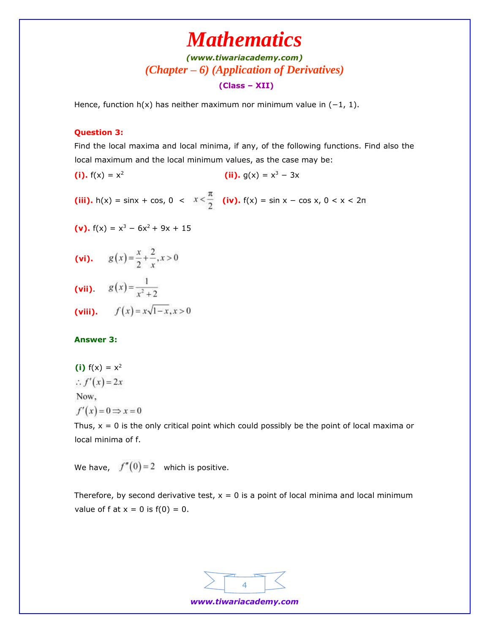### *[\(www.tiwariacademy.com\)](http://www.tiwariacademy.com/) (Chapter – 6) (Application of Derivatives)* **(Class – XII)**

Hence, function h(x) has neither maximum nor minimum value in  $(-1, 1)$ .

#### **Question 3:**

Find the local maxima and local minima, if any, of the following functions. Find also the local maximum and the local minimum values, as the case may be:

**(i).**  $f(x) = x^2$ **(ii).**  $g(x) = x^3 - 3x$ 

**(iii).** h(x) = sinx + cos, 0 <  $x < \frac{\pi}{2}$  (iv). f(x) = sin x – cos x, 0 < x < 2n

(v). 
$$
f(x) = x^3 - 6x^2 + 9x + 15
$$

- (vi).  $g(x) = \frac{x}{2} + \frac{2}{x}, x > 0$
- (vii).  $g(x) = \frac{1}{x^2 + 2}$
- (viii).  $f(x) = x\sqrt{1-x}, x > 0$

#### **Answer 3:**

(i) 
$$
f(x) = x^2
$$
  
\n $\therefore f'(x) = 2x$   
\nNow,  
\n $f'(x) = 0 \Rightarrow x =$   
\nThus,  $x = 0$  is the

Thus,  $x = 0$  is the only critical point which could possibly be the point of local maxima or local minima of f.

We have,  $f''(0) = 2$  which is positive.

 $\boldsymbol{0}$ 

Therefore, by second derivative test,  $x = 0$  is a point of local minima and local minimum value of f at  $x = 0$  is  $f(0) = 0$ .



*www.tiwariacademy.com*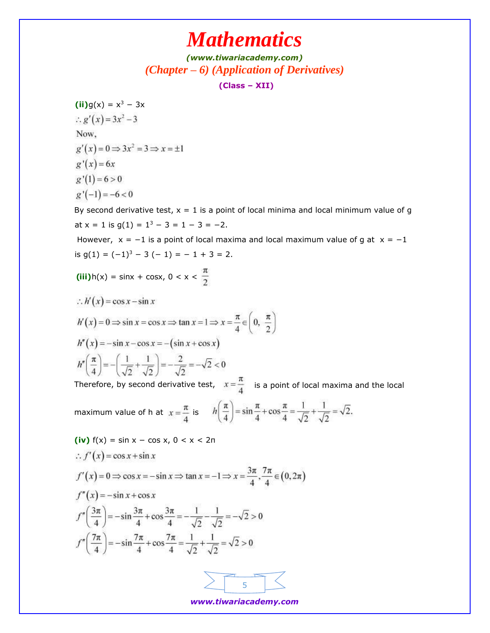*[\(www.tiwariacademy.com\)](http://www.tiwariacademy.com/) (Chapter – 6) (Application of Derivatives)*

**(Class – XII)**

 $(iii)g(x) = x^3 - 3x$ :.  $g'(x) = 3x^2 - 3$ Now,  $g'(x) = 0 \Rightarrow 3x^2 = 3 \Rightarrow x = \pm 1$  $g'(x) = 6x$  $g'(1) = 6 > 0$  $g'(-1) = -6 < 0$ 

By second derivative test,  $x = 1$  is a point of local minima and local minimum value of g at  $x = 1$  is  $g(1) = 1^3 - 3 = 1 - 3 = -2$ .

However,  $x = -1$  is a point of local maxima and local maximum value of g at  $x = -1$ is  $g(1) = (-1)^3 - 3(-1) = -1 + 3 = 2$ .

**(iii)** $h(x) = \sin x + \cos x, 0 < x < \frac{\pi}{2}$ 

$$
\therefore h'(x) = \cos x - \sin x
$$
  
\n
$$
h'(x) = 0 \Rightarrow \sin x = \cos x \Rightarrow \tan x = 1 \Rightarrow x = \frac{\pi}{4} \in \left(0, \frac{\pi}{2}\right)
$$
  
\n
$$
h''(x) = -\sin x - \cos x = -(\sin x + \cos x)
$$
  
\n
$$
h''\left(\frac{\pi}{4}\right) = -\left(\frac{1}{\sqrt{2}} + \frac{1}{\sqrt{2}}\right) = -\frac{2}{\sqrt{2}} = -\sqrt{2} < 0
$$

Therefore, by second derivative test,  $x = \frac{1}{x}$  is a point of local maxima and the local

maximum value of h at  $x = \frac{\pi}{4}$  is  $h\left(\frac{\pi}{4}\right) = \sin\frac{\pi}{4} + \cos\frac{\pi}{4} = \frac{1}{\sqrt{2}} + \frac{1}{\sqrt{2}} = \sqrt{2}$ .

(iv) 
$$
f(x) = \sin x - \cos x
$$
,  $0 < x < 2\pi$   
\n $\therefore f'(x) = \cos x + \sin x$   
\n $f'(x) = 0 \Rightarrow \cos x = -\sin x \Rightarrow \tan x = -1 \Rightarrow x = \frac{3\pi}{4}, \frac{7\pi}{4} \in (0, 2\pi)$   
\n $f''(x) = -\sin x + \cos x$   
\n $f''\left(\frac{3\pi}{4}\right) = -\sin \frac{3\pi}{4} + \cos \frac{3\pi}{4} = -\frac{1}{\sqrt{2}} - \frac{1}{\sqrt{2}} = -\sqrt{2} > 0$   
\n $f''\left(\frac{7\pi}{4}\right) = -\sin \frac{7\pi}{4} + \cos \frac{7\pi}{4} = \frac{1}{\sqrt{2}} + \frac{1}{\sqrt{2}} = \sqrt{2} > 0$ 

5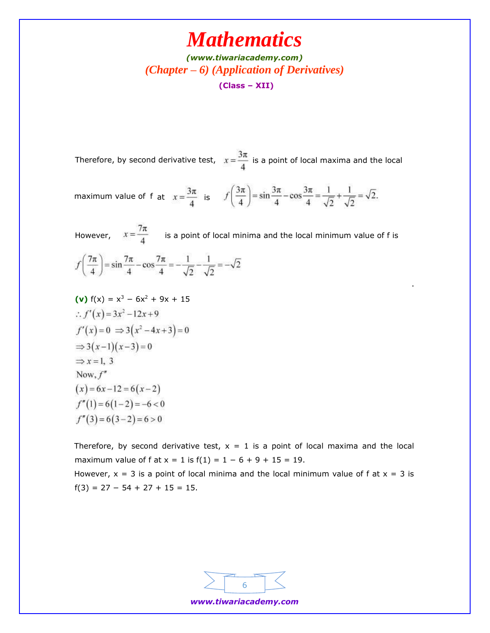*[\(www.tiwariacademy.com\)](http://www.tiwariacademy.com/) (Chapter – 6) (Application of Derivatives)* **(Class – XII)**

Therefore, by second derivative test,  $x = \frac{1}{x}$  is a point of local maxima and the local

maximum value of f at  $x = \frac{3\pi}{4}$  is  $f\left(\frac{3\pi}{4}\right) = \sin\frac{3\pi}{4} - \cos\frac{3\pi}{4} = \frac{1}{\sqrt{2}} + \frac{1}{\sqrt{2}} = \sqrt{2}$ .

However,  $x = \frac{7\pi}{4}$  is a point of local minima and the local minimum value of f is  $f\left(\frac{7\pi}{4}\right) = \sin\frac{7\pi}{4} - \cos\frac{7\pi}{4} = -\frac{1}{\sqrt{2}} - \frac{1}{\sqrt{2}} = -\sqrt{2}$ 

.

(v) 
$$
f(x) = x^3 - 6x^2 + 9x + 15
$$
  
\n $\therefore f'(x) = 3x^2 - 12x + 9$   
\n $f'(x) = 0 \Rightarrow 3(x^2 - 4x + 3) = 0$   
\n $\Rightarrow 3(x-1)(x-3) = 0$   
\n $\Rightarrow x = 1, 3$   
\nNow,  $f''(x) = 6x - 12 = 6(x-2)$   
\n $f''(1) = 6(1-2) = -6 < 0$   
\n $f''(3) = 6(3-2) = 6 > 0$ 

Therefore, by second derivative test,  $x = 1$  is a point of local maxima and the local maximum value of f at  $x = 1$  is  $f(1) = 1 - 6 + 9 + 15 = 19$ . However,  $x = 3$  is a point of local minima and the local minimum value of f at  $x = 3$  is  $f(3) = 27 - 54 + 27 + 15 = 15.$ 



*www.tiwariacademy.com*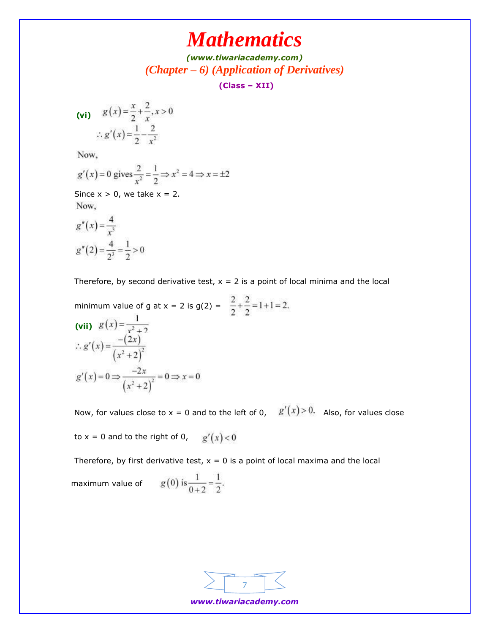*[\(www.tiwariacademy.com\)](http://www.tiwariacademy.com/) (Chapter – 6) (Application of Derivatives)*

**(Class – XII)**

(vi) 
$$
g(x) = \frac{x}{2} + \frac{2}{x}, x > 0
$$
  

$$
\therefore g'(x) = \frac{1}{2} - \frac{2}{x^2}
$$

Now,

$$
g'(x) = 0
$$
 gives  $\frac{2}{x^2} = \frac{1}{2} \Rightarrow x^2 = 4 \Rightarrow x = \pm 2$ 

Since  $x > 0$ , we take  $x = 2$ . Now,

$$
g''(x) = \frac{4}{x^3}
$$
  
 
$$
g''(2) = \frac{4}{2^3} = \frac{1}{2} > 0
$$

Therefore, by second derivative test,  $x = 2$  is a point of local minima and the local

minimum value of g at x = 2 is g(2) =  $\frac{2}{2} + \frac{2}{2} = 1 + 1 = 2$ . (vii)  $g(x) = \frac{1}{x^2 + 2}$  $\therefore g'(x) = \frac{-(2x)}{(x^2+2)^2}$  $g'(x) = 0 \Rightarrow \frac{-2x}{(x^2 + 2)^2} = 0 \Rightarrow x = 0$ 

Now, for values close to  $x = 0$  and to the left of 0,  $g'(x) > 0$ . Also, for values close

to x = 0 and to the right of 0, 
$$
g'(x) < 0
$$

Therefore, by first derivative test,  $x = 0$  is a point of local maxima and the local

maximum value of 
$$
g(0)
$$
 is  $\frac{1}{0+2} = \frac{1}{2}$ .



*www.tiwariacademy.com*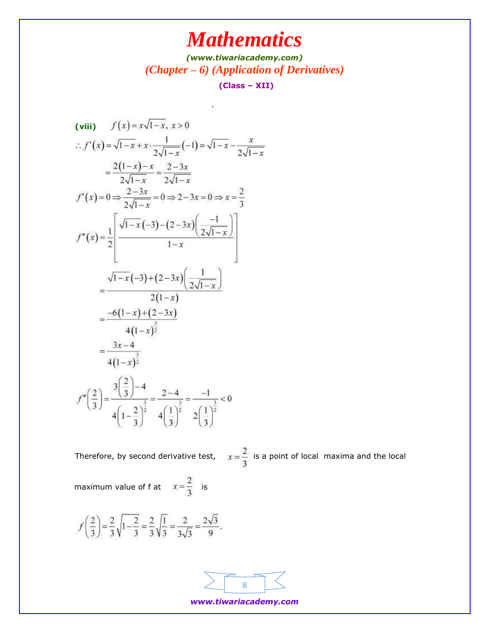*[\(www.tiwariacademy.com\)](http://www.tiwariacademy.com/) (Chapter – 6) (Application of Derivatives)* **(Class – XII)**

.

(viii) 
$$
f(x)=x\sqrt{1-x}, x>0
$$
  
\n
$$
\therefore f'(x) = \sqrt{1-x} + x \cdot \frac{1}{2\sqrt{1-x}}(-1) = \sqrt{1-x} - \frac{x}{2\sqrt{1-x}}
$$
\n
$$
= \frac{2(1-x)-x}{2\sqrt{1-x}} = \frac{2-3x}{2\sqrt{1-x}}
$$
\n
$$
f'(x) = 0 \Rightarrow \frac{2-3x}{2\sqrt{1-x}} = 0 \Rightarrow 2-3x = 0 \Rightarrow x = \frac{2}{3}
$$
\n
$$
f''(x) = \frac{1}{2} \left[ \frac{\sqrt{1-x}(-3) - (2-3x)\left(\frac{-1}{2\sqrt{1-x}}\right)}{1-x} \right]
$$
\n
$$
= \frac{\sqrt{1-x}(-3) + (2-3x)\left(\frac{1}{2\sqrt{1-x}}\right)}{2(1-x)}
$$
\n
$$
= \frac{-6(1-x) + (2-3x)}{4(1-x)^{\frac{3}{2}}}
$$
\n
$$
f''\left(\frac{2}{3}\right) = \frac{3\left(\frac{2}{3}\right) - 4}{4\left(1-\frac{2}{3}\right)^{\frac{3}{2}}} = \frac{2-4}{4\left(\frac{1}{3}\right)^{\frac{3}{2}}} = \frac{-1}{2\left(\frac{1}{3}\right)^{\frac{3}{2}}} < 0
$$

Therefore, by second derivative test,  $x = \frac{2}{3}$  is a point of local maxima and the local

maximum value of f at  $x = \frac{2}{3}$  is

$$
f\left(\frac{2}{3}\right) = \frac{2}{3}\sqrt{1-\frac{2}{3}} = \frac{2}{3}\sqrt{\frac{1}{3}} = \frac{2}{3\sqrt{3}} = \frac{2\sqrt{3}}{9}.
$$



*www.tiwariacademy.com*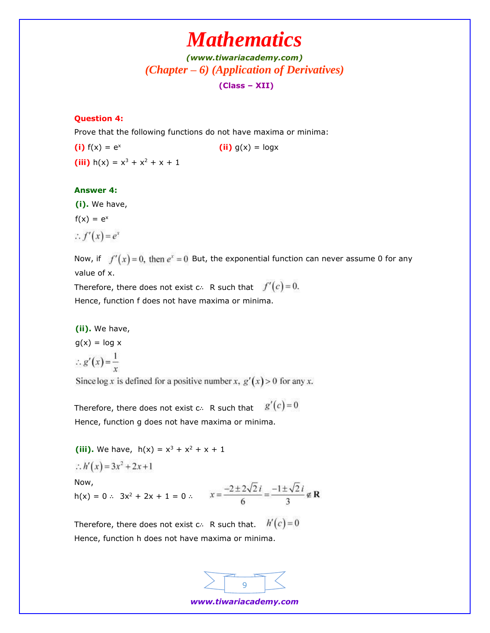## *[\(www.tiwariacademy.com\)](http://www.tiwariacademy.com/) (Chapter – 6) (Application of Derivatives)* **(Class – XII)**

#### **Question 4:**

Prove that the following functions do not have maxima or minima:

**(i)**  $f(x) = e^x$  **(ii)**  $g(x) = logx$ **(iii)**  $h(x) = x^3 + x^2 + x + 1$ 

#### **Answer 4:**

**(i).** We have,

 $f(x) = e^x$ 

$$
\therefore f'(x) = e^x
$$

Now, if  $f'(x) = 0$ , then  $e^x = 0$  But, the exponential function can never assume 0 for any value of x.

Therefore, there does not exist c∴ R such that  $f'(c) = 0$ . Hence, function f does not have maxima or minima.

**(ii).** We have,

 $g(x) = log x$ 

$$
\therefore g'(x) = \frac{1}{x}
$$

Since  $\log x$  is defined for a positive number x,  $g'(x) > 0$  for any x.

Therefore, there does not exist c∴ R such that  $g'(c) = 0$ Hence, function g does not have maxima or minima.

**(iii).** We have,  $h(x) = x^3 + x^2 + x + 1$ 

$$
\therefore h'(x) = 3x^2 + 2x + 1
$$

Now,

 $h(x) = 0$  ∴ 3x<sup>2</sup> + 2x + 1 = 0 ∴

Therefore, there does not exist c∴ R such that.  $h'(c) = 0$ Hence, function h does not have maxima or minima.



*www.tiwariacademy.com*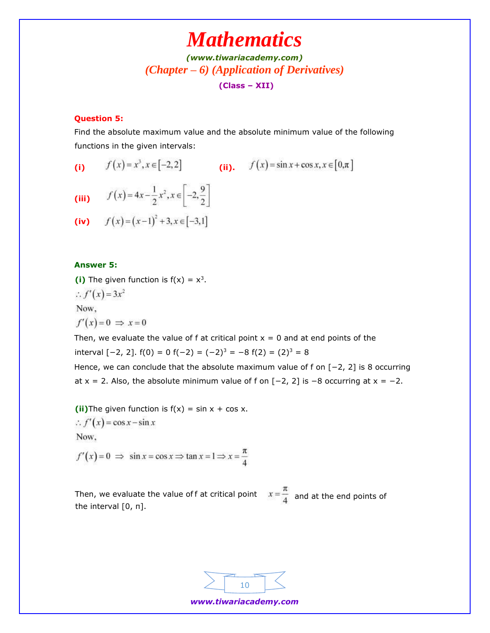*[\(www.tiwariacademy.com\)](http://www.tiwariacademy.com/) (Chapter – 6) (Application of Derivatives)* **(Class – XII)**

### **Question 5:**

Find the absolute maximum value and the absolute minimum value of the following functions in the given intervals:

(i) 
$$
f(x) = x^3, x \in [-2, 2]
$$
 (ii).  $f(x) = \sin x + \cos x, x \in [0, \pi]$ 

(iii) 
$$
f(x) = 4x - \frac{1}{2}x^2, x \in \left[-2, \frac{9}{2}\right]
$$

(iv) 
$$
f(x)=(x-1)^2+3, x \in [-3,1]
$$

### **Answer 5:**

(i) The given function is  $f(x) = x^3$ .

$$
\therefore f'(x) = 3x^2
$$

Now,

$$
f'(x) = 0 \implies x = 0
$$

Then, we evaluate the value of f at critical point  $x = 0$  and at end points of the interval  $[-2, 2]$ .  $f(0) = 0 f(-2) = (-2)^3 = -8 f(2) = (2)^3 = 8$ 

Hence, we can conclude that the absolute maximum value of f on [−2, 2] is 8 occurring at  $x = 2$ . Also, the absolute minimum value of f on  $[-2, 2]$  is  $-8$  occurring at  $x = -2$ .

**(ii)**The given function is  $f(x) = \sin x + \cos x$ .  $\therefore f'(x) = \cos x - \sin x$ Now,

 $f'(x) = 0 \implies \sin x = \cos x \implies \tan x = 1 \implies x = \frac{\pi}{4}$ 

Then, we evaluate the value of f at critical point  $x = \frac{1}{4}$  and at the end points of the interval [0, π].

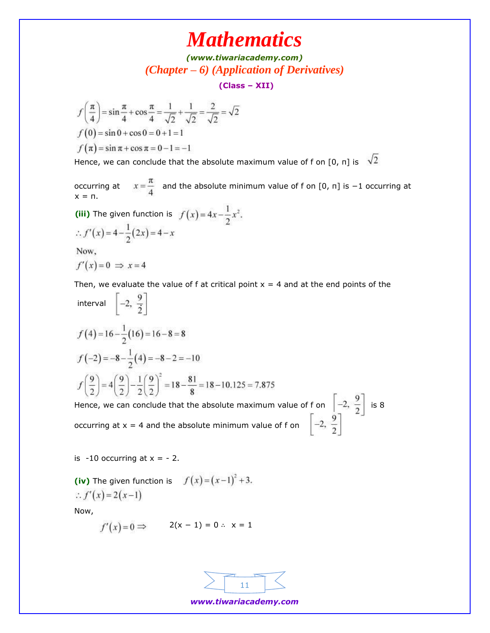*[\(www.tiwariacademy.com\)](http://www.tiwariacademy.com/) (Chapter – 6) (Application of Derivatives)*

**(Class – XII)**

$$
f\left(\frac{\pi}{4}\right) = \sin\frac{\pi}{4} + \cos\frac{\pi}{4} = \frac{1}{\sqrt{2}} + \frac{1}{\sqrt{2}} = \frac{2}{\sqrt{2}} = \sqrt{2}
$$
  

$$
f(0) = \sin 0 + \cos 0 = 0 + 1 = 1
$$
  

$$
f(\pi) = \sin \pi + \cos \pi = 0 - 1 = -1
$$

Hence, we can conclude that the absolute maximum value of f on [0, n] is  $\sqrt{2}$ 

occurring at  $x = \frac{\pi}{4}$  and the absolute minimum value of f on [0, π] is −1 occurring at  $x = \pi$ .

(iii) The given function is 
$$
f(x) = 4x - \frac{1}{2}x^2
$$
.  
\n
$$
\therefore f'(x) = 4 - \frac{1}{2}(2x) = 4 - x
$$
\nNow,

 $f'(x)=0 \Rightarrow x=4$ 

Then, we evaluate the value of f at critical point  $x = 4$  and at the end points of the

interval 
$$
\left[-2, \frac{9}{2}\right]
$$
  
\n $f(4) = 16 - \frac{1}{2}(16) = 16 - 8 = 8$   
\n $f(-2) = -8 - \frac{1}{2}(4) = -8 - 2 = -10$   
\n $f\left(\frac{9}{2}\right) = 4\left(\frac{9}{2}\right) - \frac{1}{2}\left(\frac{9}{2}\right)^2 = 18 - \frac{81}{8} = 18 - 10.125 = 7.875$   
\nHence, we can conclude that the absolute maximum value of f on

Afron  $\left[-2, \frac{9}{2}\right]$  is 8<br> $\left[-2, \frac{9}{2}\right]$ occurring at  $x = 4$  and the absolute minimum value of f on

is  $-10$  occurring at  $x = -2$ .

**(iv)** The given function is  $f(x) = (x-1)^2 + 3$ . :.  $f'(x) = 2(x-1)$ 

Now,

$$
f'(x) = 0 \Rightarrow \qquad 2(x - 1) = 0 \therefore x = 1
$$



*www.tiwariacademy.com*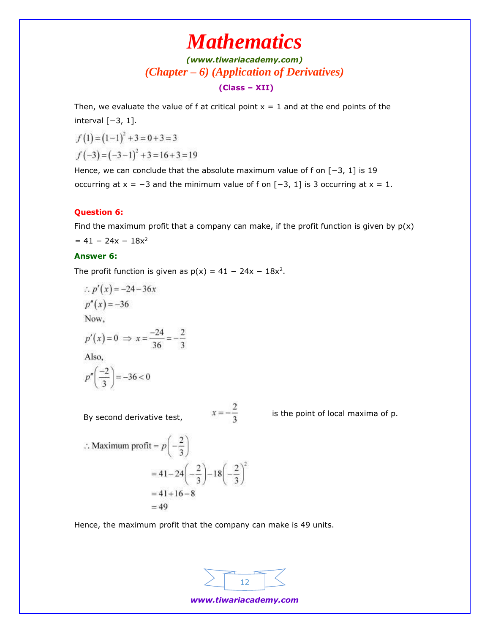## *[\(www.tiwariacademy.com\)](http://www.tiwariacademy.com/) (Chapter – 6) (Application of Derivatives)* **(Class – XII)**

Then, we evaluate the value of f at critical point  $x = 1$  and at the end points of the interval [−3, 1].

$$
f(1) = (1-1)^2 + 3 = 0+3 = 3
$$
  

$$
f(-3) = (-3-1)^2 + 3 = 16+3 = 19
$$

Hence, we can conclude that the absolute maximum value of f on [−3, 1] is 19 occurring at  $x = -3$  and the minimum value of f on  $[-3, 1]$  is 3 occurring at  $x = 1$ .

### **Question 6:**

Find the maximum profit that a company can make, if the profit function is given by  $p(x)$  $= 41 - 24x - 18x^2$ 

### **Answer 6:**

The profit function is given as  $p(x) = 41 - 24x - 18x^2$ .

:. 
$$
p'(x) = -24 - 36x
$$
  
\n $p''(x) = -36$   
\nNow,  
\n $p'(x) = 0 \implies x = \frac{-24}{36} = -\frac{2}{3}$   
\nAlso,

$$
p''\left(\frac{-2}{3}\right) = -36 < 0
$$

By second derivative test,

 $x = -\frac{2}{3}$  is the point of local maxima of p.

$$
\therefore \text{ Maximum profit} = p\left(-\frac{2}{3}\right)
$$

$$
= 41 - 24\left(-\frac{2}{3}\right) - 18\left(-\frac{2}{3}\right)^2
$$

$$
= 41 + 16 - 8
$$

$$
= 49
$$

Hence, the maximum profit that the company can make is 49 units.



*www.tiwariacademy.com*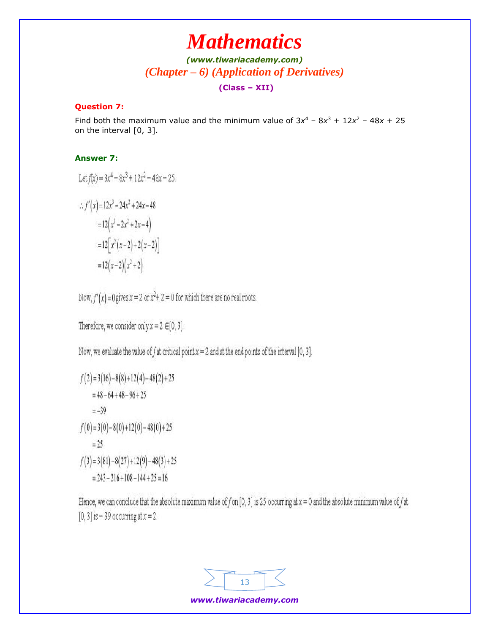## *[\(www.tiwariacademy.com\)](http://www.tiwariacademy.com/) (Chapter – 6) (Application of Derivatives)* **(Class – XII)**

### **Question 7:**

Find both the maximum value and the minimum value of  $3x^4 - 8x^3 + 12x^2 - 48x + 25$ on the interval [0, 3].

### **Answer 7:**

Let 
$$
f(x) = 3x^4 - 8x^3 + 12x^2 - 48x + 25
$$
.  
\n
$$
\therefore f'(x) = 12x^3 - 24x^2 + 24x - 48
$$
\n
$$
= 12\left(x^3 - 2x^2 + 2x - 4\right)
$$
\n
$$
= 12\left[x^2(x-2) + 2(x-2)\right]
$$
\n
$$
= 12(x-2)\left(x^2 + 2\right)
$$

Now,  $f'(x) = 0$  gives  $x = 2$  or  $x^2 + 2 = 0$  for which there are no real roots.

Therefore, we consider only  $x = 2 \in [0, 3]$ .

Now, we evaluate the value of f at critical point  $x = 2$  and at the end points of the interval [0, 3].

$$
f(2) = 3(16) - 8(8) + 12(4) - 48(2) + 25
$$
  
= 48 - 64 + 48 - 96 + 25  
= -39  

$$
f(0) = 3(0) - 8(0) + 12(0) - 48(0) + 25
$$
  
= 25  

$$
f(3) = 3(81) - 8(27) + 12(9) - 48(3) + 25
$$
  
= 243 - 216 + 108 - 144 + 25 = 16

Hence, we can conclude that the absolute maximum value of f on [0, 3] is 25 occurring at  $x = 0$  and the absolute minimum value of f at [0, 3] is  $-$  39 occurring at  $x = 2$ .

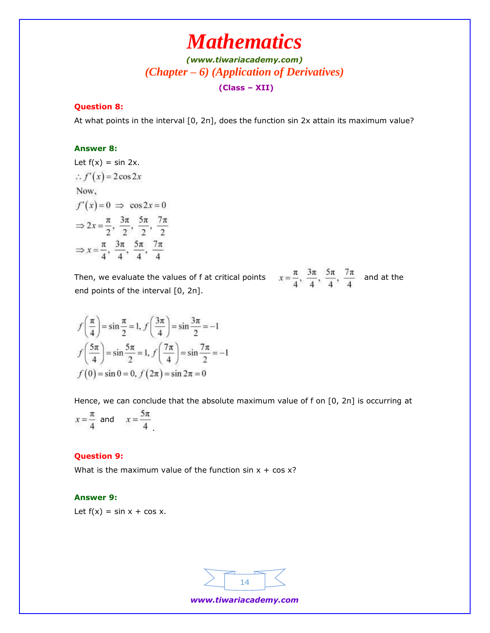## *[\(www.tiwariacademy.com\)](http://www.tiwariacademy.com/) (Chapter – 6) (Application of Derivatives)* **(Class – XII)**

### **Question 8:**

At what points in the interval [0, 2π], does the function sin 2x attain its maximum value?

#### **Answer 8:**

Let 
$$
f(x) = \sin 2x
$$
.  
\n $\therefore f'(x) = 2\cos 2x$   
\nNow,  
\n $f'(x) = 0 \implies \cos 2x = 0$   
\n $\Rightarrow 2x = \frac{\pi}{2}, \frac{3\pi}{2}, \frac{5\pi}{2}, \frac{7\pi}{2}$   
\n $\Rightarrow x = \frac{\pi}{4}, \frac{3\pi}{4}, \frac{5\pi}{4}, \frac{7\pi}{4}$ 

Then, we evaluate the values of f at critical points  $\alpha$ end points of the interval [0, 2π].

$$
x = \frac{\pi}{4}, \frac{3\pi}{4}, \frac{5\pi}{4}, \frac{7\pi}{4}
$$
 and at the

$$
f\left(\frac{\pi}{4}\right) = \sin\frac{\pi}{2} = 1, f\left(\frac{3\pi}{4}\right) = \sin\frac{3\pi}{2} = -1
$$
  

$$
f\left(\frac{5\pi}{4}\right) = \sin\frac{5\pi}{2} = 1, f\left(\frac{7\pi}{4}\right) = \sin\frac{7\pi}{2} = -1
$$
  

$$
f(0) = \sin 0 = 0, f(2\pi) = \sin 2\pi = 0
$$

Hence, we can conclude that the absolute maximum value of f on [0, 2π] is occurring at

$$
x = \frac{\pi}{4} \text{ and } x = \frac{5\pi}{4}
$$

#### **Question 9:**

What is the maximum value of the function  $sin x + cos x$ ?

#### **Answer 9:**

Let  $f(x) = \sin x + \cos x$ .

![](_page_13_Figure_15.jpeg)

*www.tiwariacademy.com*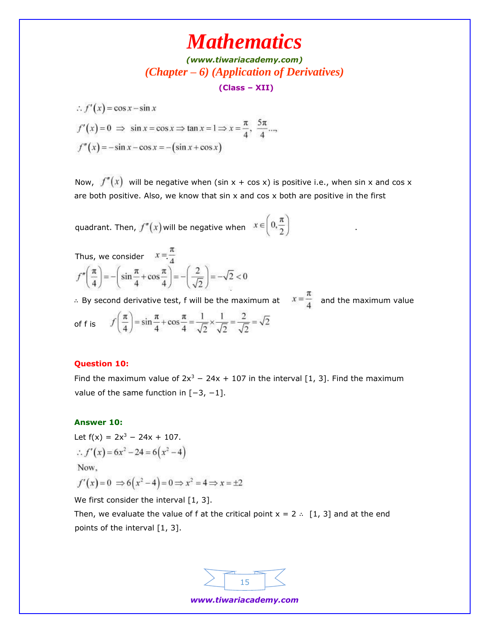*[\(www.tiwariacademy.com\)](http://www.tiwariacademy.com/) (Chapter – 6) (Application of Derivatives)*

**(Class – XII)**

 $\therefore f'(x) = \cos x - \sin x$ 

 $f'(x) = 0 \implies \sin x = \cos x \implies \tan x = 1 \implies x = \frac{\pi}{4}, \frac{5\pi}{4}...$  $f''(x) = -\sin x - \cos x = -(\sin x + \cos x)$ 

Now,  $f''(x)$  will be negative when (sin x + cos x) is positive i.e., when sin x and cos x are both positive. Also, we know that  $sin x$  and  $cos x$  both are positive in the first

.

quadrant. Then,  $f''(x)$  will be negative when  $x \in \left[0, \frac{\pi}{2}\right)$ 

Thus, we consider 
$$
x = \frac{\pi}{4}
$$
  

$$
f''\left(\frac{\pi}{4}\right) = -\left(\sin\frac{\pi}{4} + \cos\frac{\pi}{4}\right) = -\left(\frac{2}{\sqrt{2}}\right) = -\sqrt{2} < 0
$$

∴ By second derivative test, f will be the maximum at  $x = \frac{\pi}{4}$  and the maximum value of f is  $f\left(\frac{\pi}{4}\right) = \sin\frac{\pi}{4} + \cos\frac{\pi}{4} = \frac{1}{\sqrt{2}} \times \frac{1}{\sqrt{2}} = \frac{2}{\sqrt{2}} = \sqrt{2}$ 

#### **Question 10:**

Find the maximum value of  $2x^3 - 24x + 107$  in the interval [1, 3]. Find the maximum value of the same function in  $[-3, -1]$ .

#### **Answer 10:**

Let  $f(x) = 2x^3 - 24x + 107$ .  $\therefore f'(x) = 6x^2 - 24 = 6(x^2 - 4)$ Now.

$$
f'(x) = 0 \implies 6(x^2 - 4) = 0 \implies x^2 = 4 \implies x = \pm 2
$$

We first consider the interval [1, 3].

Then, we evaluate the value of f at the critical point  $x = 2$  ∴ [1, 3] and at the end points of the interval [1, 3].

![](_page_14_Figure_16.jpeg)

*www.tiwariacademy.com*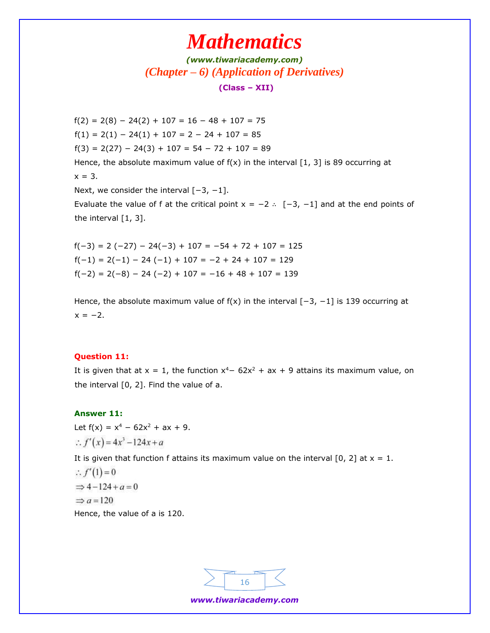*[\(www.tiwariacademy.com\)](http://www.tiwariacademy.com/) (Chapter – 6) (Application of Derivatives)* **(Class – XII)**

 $f(2) = 2(8) - 24(2) + 107 = 16 - 48 + 107 = 75$  $f(1) = 2(1) - 24(1) + 107 = 2 - 24 + 107 = 85$  $f(3) = 2(27) - 24(3) + 107 = 54 - 72 + 107 = 89$ Hence, the absolute maximum value of  $f(x)$  in the interval [1, 3] is 89 occurring at  $x = 3$ . Next, we consider the interval [-3, -1].

Evaluate the value of f at the critical point  $x = -2$  ∴  $[-3, -1]$  and at the end points of the interval [1, 3].

 $f(-3) = 2 (-27) - 24(-3) + 107 = -54 + 72 + 107 = 125$  $f(-1) = 2(-1) - 24(-1) + 107 = -2 + 24 + 107 = 129$  $f(-2) = 2(-8) - 24(-2) + 107 = -16 + 48 + 107 = 139$ 

Hence, the absolute maximum value of  $f(x)$  in the interval  $[-3, -1]$  is 139 occurring at  $x = -2$ .

#### **Question 11:**

It is given that at  $x = 1$ , the function  $x^4 - 62x^2 + ax + 9$  attains its maximum value, on the interval [0, 2]. Find the value of a.

#### **Answer 11:**

Let  $f(x) = x^4 - 62x^2 + ax + 9$ . :.  $f'(x) = 4x^3 - 124x + a$ It is given that function f attains its maximum value on the interval [0, 2] at  $x = 1$ .  $\therefore f'(1) = 0$  $\Rightarrow 4-124+a=0$  $\Rightarrow a = 120$ Hence, the value of a is 120.

![](_page_15_Figure_10.jpeg)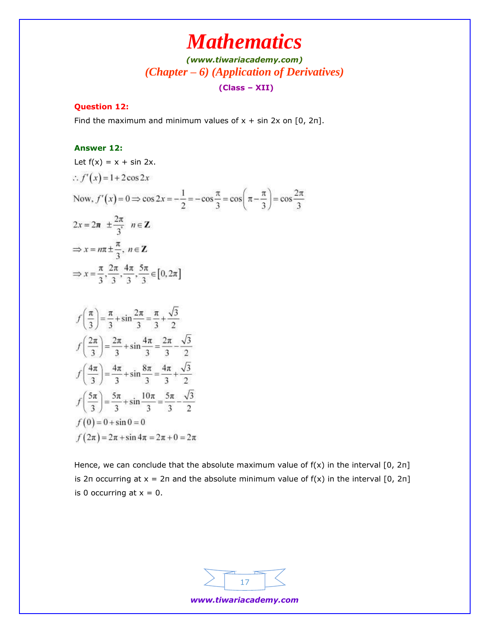*[\(www.tiwariacademy.com\)](http://www.tiwariacademy.com/) (Chapter – 6) (Application of Derivatives)*

### **(Class – XII)**

### **Question 12:**

Find the maximum and minimum values of  $x + \sin 2x$  on [0, 2n].

### **Answer 12:**

| Let $f(x) = x + \sin 2x$ .                                                                                                                |
|-------------------------------------------------------------------------------------------------------------------------------------------|
| $\therefore f'(x) = 1 + 2\cos 2x$                                                                                                         |
| Now, $f'(x) = 0 \Rightarrow \cos 2x = -\frac{1}{2} = -\cos \frac{\pi}{3} = \cos \left( \pi - \frac{\pi}{3} \right) = \cos \frac{2\pi}{3}$ |
| $2x = 2\pi \pm \frac{2\pi}{2}$ $n \in \mathbb{Z}$                                                                                         |
| $\Rightarrow$ x = $n\pi \pm \frac{\pi}{3}$ , $n \in \mathbb{Z}$                                                                           |
| ⇒ $x = \frac{\pi}{3}, \frac{2\pi}{3}, \frac{4\pi}{3}, \frac{5\pi}{3} \in [0, 2\pi]$                                                       |

$$
f\left(\frac{\pi}{3}\right) = \frac{\pi}{3} + \sin\frac{2\pi}{3} = \frac{\pi}{3} + \frac{\sqrt{3}}{2}
$$
  

$$
f\left(\frac{2\pi}{3}\right) = \frac{2\pi}{3} + \sin\frac{4\pi}{3} = \frac{2\pi}{3} - \frac{\sqrt{3}}{2}
$$
  

$$
f\left(\frac{4\pi}{3}\right) = \frac{4\pi}{3} + \sin\frac{8\pi}{3} = \frac{4\pi}{3} + \frac{\sqrt{3}}{2}
$$
  

$$
f\left(\frac{5\pi}{3}\right) = \frac{5\pi}{3} + \sin\frac{10\pi}{3} = \frac{5\pi}{3} - \frac{\sqrt{3}}{2}
$$
  

$$
f(0) = 0 + \sin 0 = 0
$$
  

$$
f(2\pi) = 2\pi + \sin 4\pi = 2\pi + 0 = 2\pi
$$

Hence, we can conclude that the absolute maximum value of  $f(x)$  in the interval  $[0, 2\pi]$ is 2π occurring at  $x = 2π$  and the absolute minimum value of  $f(x)$  in the interval  $[0, 2π]$ is 0 occurring at  $x = 0$ .

![](_page_16_Figure_9.jpeg)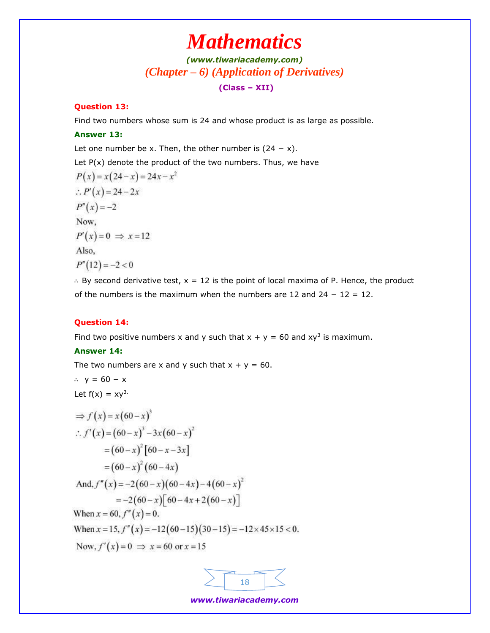## *[\(www.tiwariacademy.com\)](http://www.tiwariacademy.com/) (Chapter – 6) (Application of Derivatives)*

### **(Class – XII)**

### **Question 13:**

Find two numbers whose sum is 24 and whose product is as large as possible.

#### **Answer 13:**

Let one number be x. Then, the other number is  $(24 - x)$ .

Let  $P(x)$  denote the product of the two numbers. Thus, we have

$$
P(x) = x(24 - x) = 24x - x^{2}
$$
  
\n
$$
\therefore P'(x) = 24 - 2x
$$
  
\n
$$
P''(x) = -2
$$
  
\nNow,  
\n
$$
P'(x) = 0 \implies x = 12
$$
  
\nAlso,  
\n
$$
P''(12) = -2 < 0
$$

∴ By second derivative test, x = 12 is the point of local maxima of P. Hence, the product of the numbers is the maximum when the numbers are 12 and 24 − 12 = 12.

#### **Question 14:**

Find two positive numbers x and y such that  $x + y = 60$  and  $xy^3$  is maximum.

#### **Answer 14:**

The two numbers are x and y such that  $x + y = 60$ .

$$
\therefore y = 60 - x
$$

Let  $f(x) = xy^3$ .

$$
\Rightarrow f(x) = x(60-x)^3
$$
  
\n
$$
\therefore f'(x) = (60-x)^3 - 3x(60-x)^2
$$
  
\n
$$
= (60-x)^2 [60-x-3x]
$$
  
\n
$$
= (60-x)^2 (60-4x)
$$
  
\nAnd,  $f''(x) = -2(60-x)(60-4x) - 4(60-x)^2$   
\n
$$
= -2(60-x)[60-4x+2(60-x)]
$$
  
\nWhen  $x = 60$ ,  $f''(x) = 0$ .  
\nWhen  $x = 15$ ,  $f''(x) = -12(60-15)(30-15) = -12 \times 45 \times 15 < 0$ .  
\nNow,  $f'(x) = 0 \Rightarrow x = 60$  or  $x = 15$ 

![](_page_17_Figure_17.jpeg)

*www.tiwariacademy.com*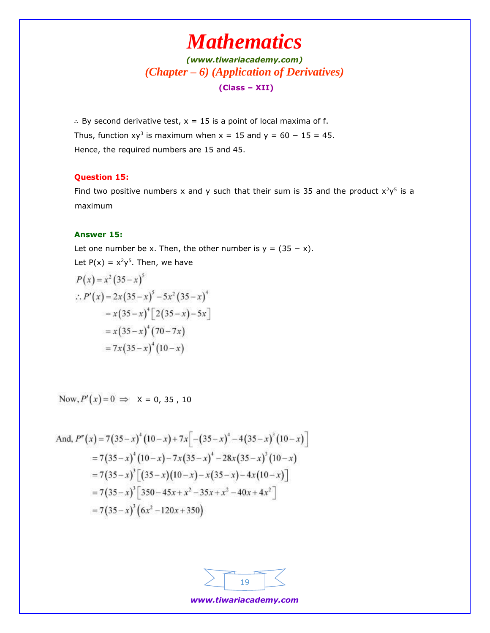*[\(www.tiwariacademy.com\)](http://www.tiwariacademy.com/) (Chapter – 6) (Application of Derivatives)* **(Class – XII)**

∴ By second derivative test, x = 15 is a point of local maxima of f. Thus, function  $xy^3$  is maximum when  $x = 15$  and  $y = 60 - 15 = 45$ . Hence, the required numbers are 15 and 45.

#### **Question 15:**

Find two positive numbers x and y such that their sum is 35 and the product  $x^2y^5$  is a maximum

#### **Answer 15:**

Let one number be x. Then, the other number is  $y = (35 - x)$ . Let  $P(x) = x^2y^5$ . Then, we have  $\sqrt{1 - 2}$ 

$$
P(x) = x^{2} (35 - x)^{3}
$$
  
.: 
$$
P'(x) = 2x (35 - x)^{5} - 5x^{2} (35 - x)^{4}
$$

$$
= x (35 - x)^{4} [2(35 - x) - 5x]
$$

$$
= x (35 - x)^{4} (70 - 7x)
$$

$$
= 7x (35 - x)^{4} (10 - x)
$$

Now,  $P'(x)=0 \Rightarrow X = 0, 35, 10$ 

And, 
$$
P''(x) = 7(35-x)^4(10-x) + 7x[-(35-x)^4 - 4(35-x)^3(10-x)]
$$
  
\n
$$
= 7(35-x)^4(10-x) - 7x(35-x)^4 - 28x(35-x)^3(10-x)
$$
\n
$$
= 7(35-x)^3[(35-x)(10-x) - x(35-x) - 4x(10-x)]
$$
\n
$$
= 7(35-x)^3[350-45x+x^2-35x+x^2-40x+4x^2]
$$
\n
$$
= 7(35-x)^3(6x^2-120x+350)
$$

| m |  |
|---|--|
|   |  |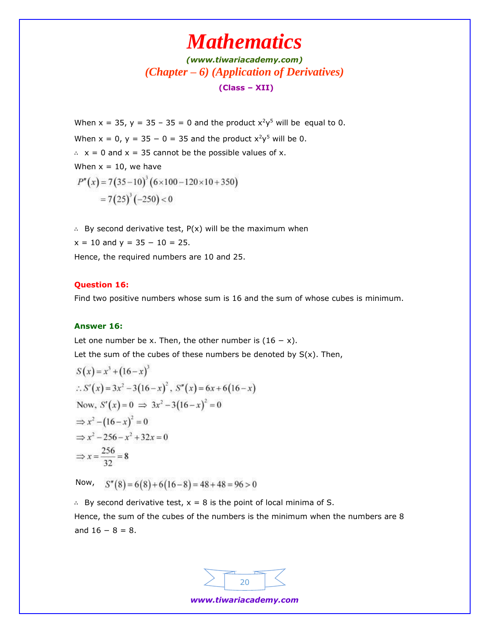## *[\(www.tiwariacademy.com\)](http://www.tiwariacademy.com/) (Chapter – 6) (Application of Derivatives)* **(Class – XII)**

When  $x = 35$ ,  $y = 35 - 35 = 0$  and the product  $x^2y^5$  will be equal to 0. When  $x = 0$ ,  $y = 35 - 0 = 35$  and the product  $x^2y^5$  will be 0. ∴ x = 0 and x = 35 cannot be the possible values of x. When  $x = 10$ , we have  $P''(x) = 7(35-10)^3 (6 \times 100-120 \times 10+350)$  $=7(25)^3(-250)<0$ 

∴ By second derivative test, P(x) will be the maximum when  $x = 10$  and  $y = 35 - 10 = 25$ . Hence, the required numbers are 10 and 25.

#### **Question 16:**

Find two positive numbers whose sum is 16 and the sum of whose cubes is minimum.

### **Answer 16:**

Let one number be x. Then, the other number is  $(16 - x)$ . Let the sum of the cubes of these numbers be denoted by  $S(x)$ . Then,

$$
S(x) = x3 + (16-x)3
$$
  
\n∴ S'(x) = 3x<sup>2</sup> - 3(16-x)<sup>2</sup>, S''(x) = 6x+6(16-x)  
\nNow, S'(x) = 0  $\implies$  3x<sup>2</sup> - 3(16-x)<sup>2</sup> = 0  
\n $\implies$  x<sup>2</sup> - (16-x)<sup>2</sup> = 0  
\n $\implies$  x<sup>2</sup> - 256 - x<sup>2</sup> + 32x = 0  
\n $\implies$  x =  $\frac{256}{32}$  = 8

Now,  $S''(8) = 6(8) + 6(16-8) = 48 + 48 = 96 > 0$ 

∴ By second derivative test, x = 8 is the point of local minima of S. Hence, the sum of the cubes of the numbers is the minimum when the numbers are 8 and  $16 - 8 = 8$ .

![](_page_19_Figure_11.jpeg)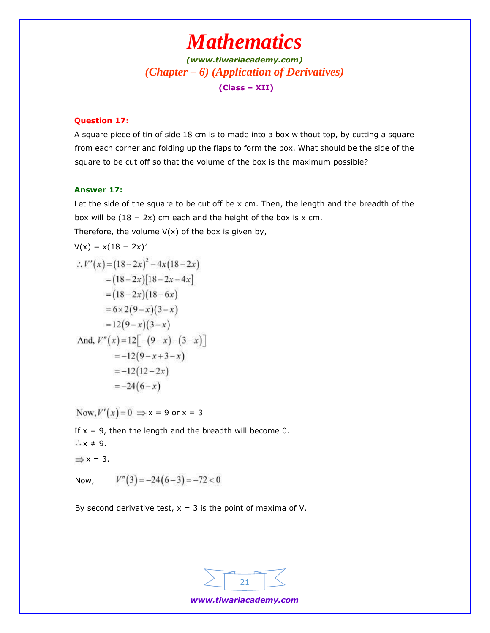*[\(www.tiwariacademy.com\)](http://www.tiwariacademy.com/) (Chapter – 6) (Application of Derivatives)* **(Class – XII)**

#### **Question 17:**

A square piece of tin of side 18 cm is to made into a box without top, by cutting a square from each corner and folding up the flaps to form the box. What should be the side of the square to be cut off so that the volume of the box is the maximum possible?

#### **Answer 17:**

Let the side of the square to be cut off be x cm. Then, the length and the breadth of the box will be  $(18 - 2x)$  cm each and the height of the box is x cm. Therefore, the volume  $V(x)$  of the box is given by,

$$
V(x) = x(18 - 2x)^2
$$
  
\n
$$
\therefore V'(x) = (18 - 2x)^2 - 4x(18 - 2x)
$$
  
\n
$$
= (18 - 2x)[18 - 2x - 4x]
$$
  
\n
$$
= (18 - 2x)(18 - 6x)
$$
  
\n
$$
= 6 \times 2(9 - x)(3 - x)
$$
  
\n
$$
= 12(9 - x)(3 - x)
$$
  
\nAnd,  $V''(x) = 12[-(9 - x) - (3 - x)]$   
\n
$$
= -12(9 - x + 3 - x)
$$
  
\n
$$
= -12(12 - 2x)
$$
  
\n
$$
= -24(6 - x)
$$

Now,  $V'(x) = 0 \Rightarrow x = 9$  or  $x = 3$ 

If  $x = 9$ , then the length and the breadth will become 0.  $\therefore x \neq 9$ .  $\Rightarrow$  x = 3.  $V''(3) = -24(6-3) = -72 < 0$ Now,

By second derivative test,  $x = 3$  is the point of maxima of V.

![](_page_20_Figure_10.jpeg)

*www.tiwariacademy.com*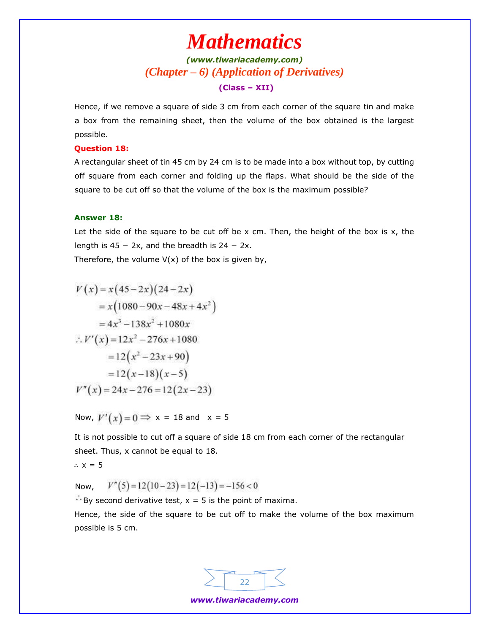## *[\(www.tiwariacademy.com\)](http://www.tiwariacademy.com/) (Chapter – 6) (Application of Derivatives)* **(Class – XII)**

Hence, if we remove a square of side 3 cm from each corner of the square tin and make a box from the remaining sheet, then the volume of the box obtained is the largest possible.

#### **Question 18:**

A rectangular sheet of tin 45 cm by 24 cm is to be made into a box without top, by cutting off square from each corner and folding up the flaps. What should be the side of the square to be cut off so that the volume of the box is the maximum possible?

#### **Answer 18:**

Let the side of the square to be cut off be  $x$  cm. Then, the height of the box is  $x$ , the length is  $45 - 2x$ , and the breadth is  $24 - 2x$ .

Therefore, the volume  $V(x)$  of the box is given by,

$$
V(x) = x(45-2x)(24-2x)
$$
  
= x(1080-90x-48x+4x<sup>2</sup>)  
= 4x<sup>3</sup>-138x<sup>2</sup> +1080x  

$$
\therefore V'(x) = 12x2-276x+1080
$$
  
= 12(x<sup>2</sup>-23x+90)  
= 12(x-18)(x-5)  

$$
V''(x) = 24x-276=12(2x-23)
$$

Now,  $V'(x) = 0 \implies x = 18$  and  $x = 5$ 

It is not possible to cut off a square of side 18 cm from each corner of the rectangular sheet. Thus, x cannot be equal to 18.

$$
\therefore x = 5
$$

 $V''(5) = 12(10-23) = 12(-13) = -156 < 0$ Now,

 $\mathbb{F}$  By second derivative test,  $x = 5$  is the point of maxima.

Hence, the side of the square to be cut off to make the volume of the box maximum possible is 5 cm.

![](_page_21_Figure_15.jpeg)

*www.tiwariacademy.com*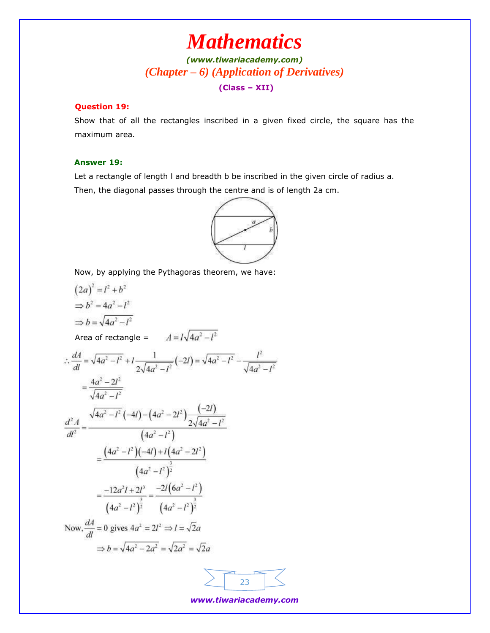## *[\(www.tiwariacademy.com\)](http://www.tiwariacademy.com/) (Chapter – 6) (Application of Derivatives)* **(Class – XII)**

### **Question 19:**

Show that of all the rectangles inscribed in a given fixed circle, the square has the maximum area.

#### **Answer 19:**

Let a rectangle of length I and breadth b be inscribed in the given circle of radius a.

Then, the diagonal passes through the centre and is of length 2a cm.

![](_page_22_Figure_7.jpeg)

Now, by applying the Pythagoras theorem, we have:

$$
(2a)^2 = l^2 + b^2
$$
  
\n
$$
\Rightarrow b^2 = 4a^2 - l^2
$$
  
\n
$$
\Rightarrow b = \sqrt{4a^2 - l^2}
$$
  
\nArea of rectangle  $= A = l\sqrt{4a^2 - l^2}$   
\n
$$
\therefore \frac{dA}{dl} = \sqrt{4a^2 - l^2} + l \frac{1}{2\sqrt{4a^2 - l^2}}(-2l) = \sqrt{4a^2 - l^2} - \frac{l^2}{\sqrt{4a^2 - l^2}}
$$
  
\n
$$
= \frac{4a^2 - 2l^2}{\sqrt{4a^2 - l^2}}
$$
  
\n
$$
\frac{d^2A}{dl^2} = \frac{\sqrt{4a^2 - l^2}(-4l) - (4a^2 - 2l^2)\frac{(-2l)}{2\sqrt{4a^2 - l^2}}}{(4a^2 - l^2)}
$$
  
\n
$$
= \frac{(4a^2 - l^2)(-4l) + l(4a^2 - 2l^2)}{(4a^2 - l^2)^2}
$$
  
\n
$$
= \frac{-12a^2l + 2l^3}{(4a^2 - l^2)^{\frac{3}{2}}} = \frac{-2l(6a^2 - l^2)}{(4a^2 - l^2)^{\frac{3}{2}}}
$$
  
\nNow,  $\frac{dA}{dl} = 0$  gives  $4a^2 = 2l^2 \Rightarrow l = \sqrt{2}a$   
\n
$$
\Rightarrow b = \sqrt{4a^2 - 2a^2} = \sqrt{2a^2} = \sqrt{2}a
$$

![](_page_22_Figure_10.jpeg)

*www.tiwariacademy.com*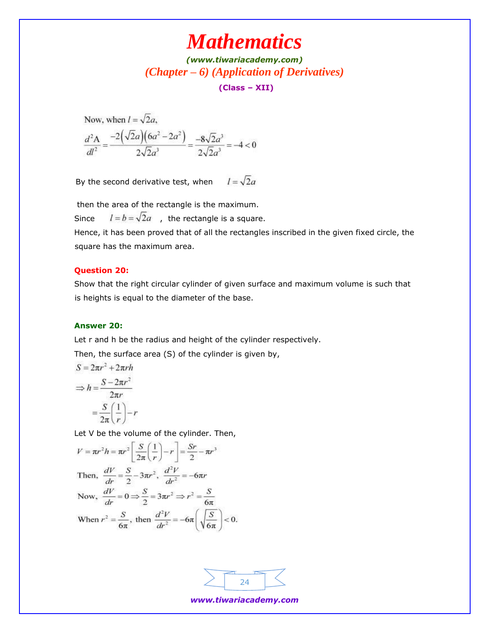*[\(www.tiwariacademy.com\)](http://www.tiwariacademy.com/) (Chapter – 6) (Application of Derivatives)*

**(Class – XII)**

Now, when 
$$
l = \sqrt{2}a
$$
,  
\n
$$
\frac{d^2A}{dl^2} = \frac{-2(\sqrt{2}a)(6a^2 - 2a^2)}{2\sqrt{2}a^3} = \frac{-8\sqrt{2}a^3}{2\sqrt{2}a^3} = -4 < 0
$$

 $l = \sqrt{2}a$ By the second derivative test, when

then the area of the rectangle is the maximum.

Since  $l = b = \sqrt{2}a$ , the rectangle is a square.

Hence, it has been proved that of all the rectangles inscribed in the given fixed circle, the square has the maximum area.

#### **Question 20:**

Show that the right circular cylinder of given surface and maximum volume is such that is heights is equal to the diameter of the base.

### **Answer 20:**

Let r and h be the radius and height of the cylinder respectively.

Then, the surface area (S) of the cylinder is given by,

$$
S = 2\pi r^2 + 2\pi rh
$$

$$
\Rightarrow h = \frac{S - 2\pi r^2}{2\pi r}
$$

$$
= \frac{S}{2\pi} \left(\frac{1}{r}\right) - r
$$

Let V be the volume of the cylinder. Then,

$$
V = \pi r^2 h = \pi r^2 \left[ \frac{S}{2\pi} \left( \frac{1}{r} \right) - r \right] = \frac{Sr}{2} - \pi r^3
$$
  
Then, 
$$
\frac{dV}{dr} = \frac{S}{2} - 3\pi r^2, \frac{d^2V}{dr^2} = -6\pi r
$$
  
Now, 
$$
\frac{dV}{dr} = 0 \Rightarrow \frac{S}{2} = 3\pi r^2 \Rightarrow r^2 = \frac{S}{6\pi}
$$
  
When  $r^2 = \frac{S}{6\pi}$ , then 
$$
\frac{d^2V}{dr^2} = -6\pi \left( \sqrt{\frac{S}{6\pi}} \right) < 0.
$$

![](_page_23_Figure_16.jpeg)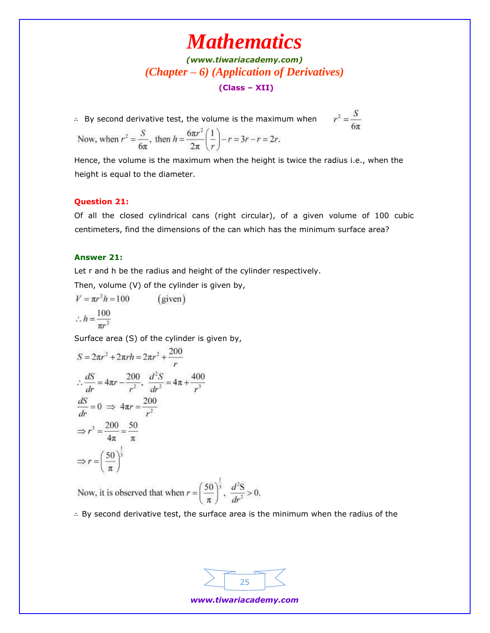## *[\(www.tiwariacademy.com\)](http://www.tiwariacademy.com/) (Chapter – 6) (Application of Derivatives)* **(Class – XII)**

∴ By second derivative test, the volume is the maximum when

$$
r^2 = \frac{S}{6\pi}
$$

Now, when 
$$
r^2 = \frac{S}{6\pi}
$$
, then  $h = \frac{6\pi r^2}{2\pi} \left(\frac{1}{r}\right) - r = 3r - r = 2r$ .

Hence, the volume is the maximum when the height is twice the radius i.e., when the height is equal to the diameter.

#### **Question 21:**

Of all the closed cylindrical cans (right circular), of a given volume of 100 cubic centimeters, find the dimensions of the can which has the minimum surface area?

#### **Answer 21:**

Let r and h be the radius and height of the cylinder respectively.

Then, volume (V) of the cylinder is given by,

$$
V = \pi r^2 h = 100 \qquad \text{(given)}
$$
  

$$
\therefore h = \frac{100}{\pi r^2}
$$

Surface area (S) of the cylinder is given by,

$$
S = 2\pi r^2 + 2\pi rh = 2\pi r^2 + \frac{200}{r}
$$
  
\n
$$
\therefore \frac{dS}{dr} = 4\pi r - \frac{200}{r^2}, \frac{d^2S}{dr^2} = 4\pi + \frac{400}{r^3}
$$
  
\n
$$
\frac{dS}{dr} = 0 \implies 4\pi r = \frac{200}{r^2}
$$
  
\n
$$
\implies r^3 = \frac{200}{4\pi} = \frac{50}{\pi}
$$
  
\n
$$
\implies r = \left(\frac{50}{\pi}\right)^{\frac{1}{3}}
$$

Now, it is observed that when  $r = \left(\frac{50}{\pi}\right)^3$ ,  $\frac{d^2S}{dr^2} > 0$ .

∴ By second derivative test, the surface area is the minimum when the radius of the

![](_page_24_Figure_16.jpeg)

*www.tiwariacademy.com*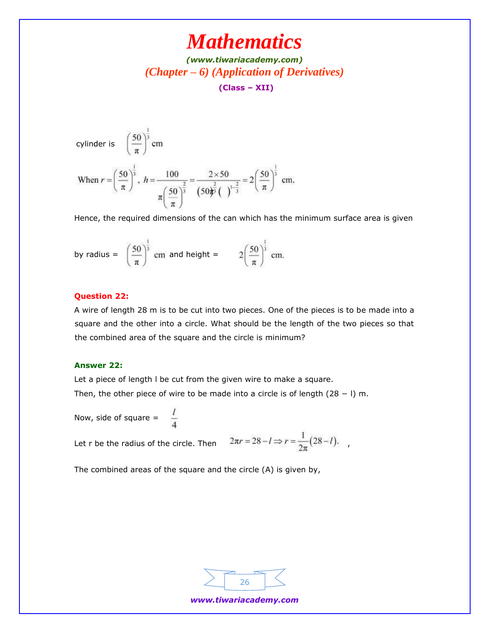*[\(www.tiwariacademy.com\)](http://www.tiwariacademy.com/) (Chapter – 6) (Application of Derivatives)* **(Class – XII)**

cylinder is 
$$
\left(\frac{50}{\pi}\right)^{\frac{1}{3}}
$$
 cm  
\nWhen  $r = \left(\frac{50}{\pi}\right)^{\frac{1}{3}}$ ,  $h = \frac{100}{\pi \left(\frac{50}{\pi}\right)^{\frac{2}{3}}} = \frac{2 \times 50}{\left(50\right)^{\frac{2}{5}} \left(\frac{1}{\pi}\right)^{\frac{1}{3}}} = 2\left(\frac{50}{\pi}\right)^{\frac{1}{3}}$  cm.

Hence, the required dimensions of the can which has the minimum surface area is given

by radius = 
$$
\left(\frac{50}{\pi}\right)^{\frac{1}{3}}
$$
 cm and height =  $2\left(\frac{50}{\pi}\right)^{\frac{1}{3}}$  cm

### **Question 22:**

A wire of length 28 m is to be cut into two pieces. One of the pieces is to be made into a square and the other into a circle. What should be the length of the two pieces so that the combined area of the square and the circle is minimum?

#### **Answer 22:**

Let a piece of length l be cut from the given wire to make a square. Then, the other piece of wire to be made into a circle is of length (28 − l) m.

Now, side of square = 
$$
\frac{7}{4}
$$

Let r be the radius of the circle. Then  $2\pi r = 28 - l \Rightarrow r = \frac{1}{2\pi} (28 - l)$ .

The combined areas of the square and the circle (A) is given by,

![](_page_25_Figure_12.jpeg)

*www.tiwariacademy.com*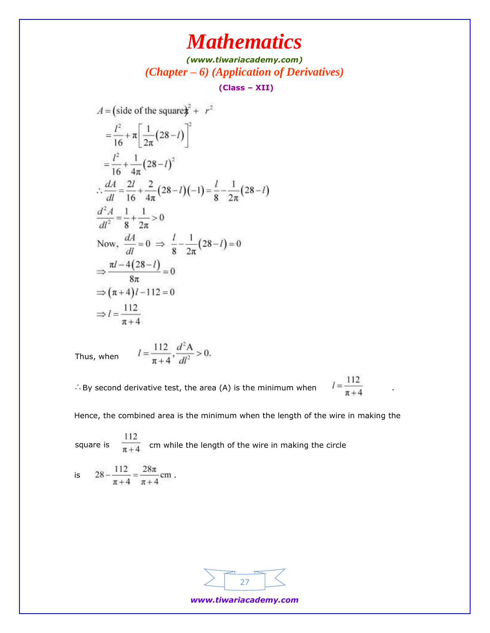*[\(www.tiwariacademy.com\)](http://www.tiwariacademy.com/) (Chapter – 6) (Application of Derivatives)*

**(Class – XII)**

 $A = (side of the square) $\hat{\imath}^2 + r^2$$  $=\frac{l^2}{16}+\pi\left[\frac{1}{2\pi}(28-l)\right]^2$  $=\frac{l^2}{16}+\frac{1}{4\pi}(28-l)^2$  $\therefore \frac{dA}{dl} = \frac{2l}{16} + \frac{2}{4\pi} (28 - l) (-1) = \frac{l}{8} - \frac{1}{2\pi} (28 - l)$  $\frac{d^2A}{dl^2} = \frac{1}{8} + \frac{1}{2\pi} > 0$ Now,  $\frac{dA}{dl} = 0 \implies \frac{l}{8} - \frac{1}{2\pi}(28 - l) = 0$  $\Rightarrow \frac{\pi l - 4(28-l)}{8\pi} = 0$  $\Rightarrow (\pi+4)l-112=0$  $\Rightarrow l = \frac{112}{\pi + 4}$ 

Thus, when 
$$
l = \frac{112}{\pi + 4}, \frac{d^2 A}{dl^2} > 0.
$$

 $\therefore$  By second derivative test, the area (A) is the minimum when  $I = \frac{112}{\pi + 4}$ 

Hence, the combined area is the minimum when the length of the wire in making the

square is  $\frac{1}{\sqrt{2}}$  cm while the length of the wire in making the circle

is 
$$
28 - \frac{112}{\pi + 4} = \frac{28\pi}{\pi + 4}
$$
 cm.

![](_page_26_Figure_10.jpeg)

*www.tiwariacademy.com*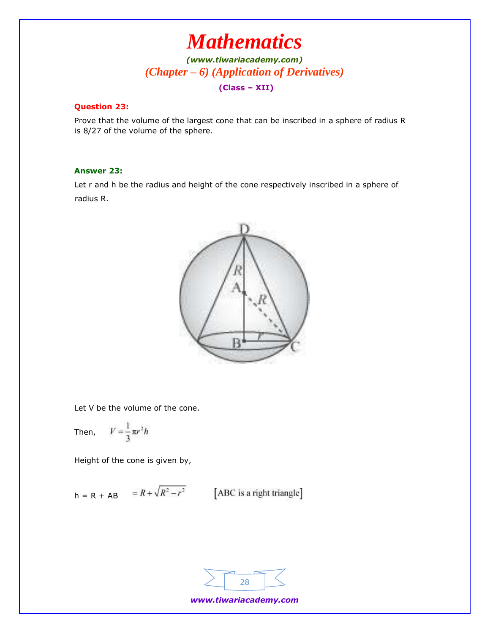*[\(www.tiwariacademy.com\)](http://www.tiwariacademy.com/) (Chapter – 6) (Application of Derivatives)* **(Class – XII)**

### **Question 23:**

Prove that the volume of the largest cone that can be inscribed in a sphere of radius R is 8/27 of the volume of the sphere.

### **Answer 23:**

Let r and h be the radius and height of the cone respectively inscribed in a sphere of radius R.

![](_page_27_Picture_6.jpeg)

Let V be the volume of the cone.

Then, 
$$
V = \frac{1}{3} \pi r^2 h
$$

Height of the cone is given by,

$$
h = R + AB = R + \sqrt{R^2 - r^2}
$$
 [ABC is a right triangle]

![](_page_27_Figure_11.jpeg)

*www.tiwariacademy.com*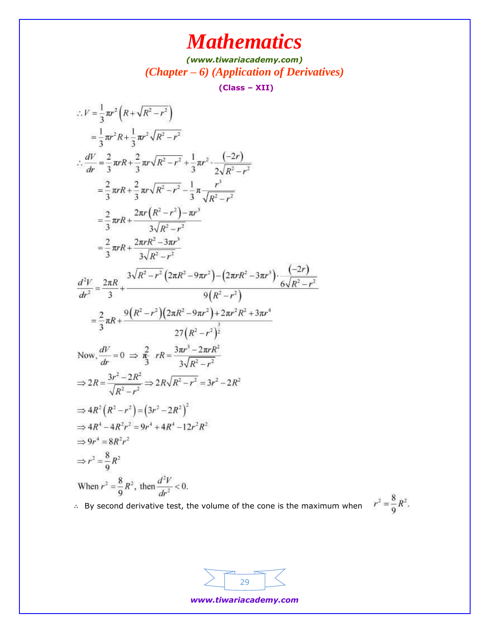*[\(www.tiwariacademy.com\)](http://www.tiwariacademy.com/) (Chapter – 6) (Application of Derivatives)*

**(Class – XII)**

$$
\therefore V = \frac{1}{3}\pi r^2 (R + \sqrt{R^2 - r^2})
$$
  
\n
$$
= \frac{1}{3}\pi r^2 R + \frac{1}{3}\pi r^2 \sqrt{R^2 - r^2}
$$
  
\n
$$
\therefore \frac{dV}{dr} = \frac{2}{3}\pi rR + \frac{2}{3}\pi r\sqrt{R^2 - r^2} + \frac{1}{3}\pi r^2 \cdot \frac{(-2r)}{2\sqrt{R^2 - r^2}}
$$
  
\n
$$
= \frac{2}{3}\pi rR + \frac{2}{3}\pi r\sqrt{R^2 - r^2} - \frac{1}{3}\pi \frac{r^3}{\sqrt{R^2 - r^2}}
$$
  
\n
$$
= \frac{2}{3}\pi rR + \frac{2\pi r(R^2 - r^2) - \pi r^3}{3\sqrt{R^2 - r^2}}
$$
  
\n
$$
= \frac{2}{3}\pi rR + \frac{2\pi rR^2 - 3\pi r^3}{3\sqrt{R^2 - r^2}}
$$
  
\n
$$
\frac{d^2V}{dr^2} = \frac{2\pi R}{3} + \frac{3\sqrt{R^2 - r^2}(2\pi R^2 - 9\pi r^2) - (2\pi rR^2 - 3\pi r^3) \cdot \frac{(-2r)}{6\sqrt{R^2 - r^2}}
$$
  
\n
$$
= \frac{2}{3}\pi R + \frac{9(R^2 - r^2)(2\pi R^2 - 9\pi r^2) + 2\pi r^2 R^2 + 3\pi r^4}{27(R^2 - r^2)^{\frac{3}{2}}}
$$
  
\nNow,  $\frac{dV}{dr} = 0 \implies \frac{2}{\pi^2} rR = \frac{3\pi r^3 - 2\pi rR^2}{3\sqrt{R^2 - r^2}}$   
\n
$$
\implies 2R = \frac{3r^2 - 2R^2}{\sqrt{R^2 - r^2}} \implies 2R\sqrt{R^2 - r^2} = 3r^2 - 2R^2
$$
  
\n
$$
\implies 4R^2 (R^2 - r^2) = (3r^2 - 2R^2)^2
$$
  
\n
$$
\implies r^2 = \frac{8}{9}R^2
$$
  
\nWhen  $r^2 = \frac$ 

∴ By second derivative test, the volume of the cone is the maximum when  $r^2 = \frac{8}{9}R^2$ .

![](_page_28_Figure_5.jpeg)

*www.tiwariacademy.com*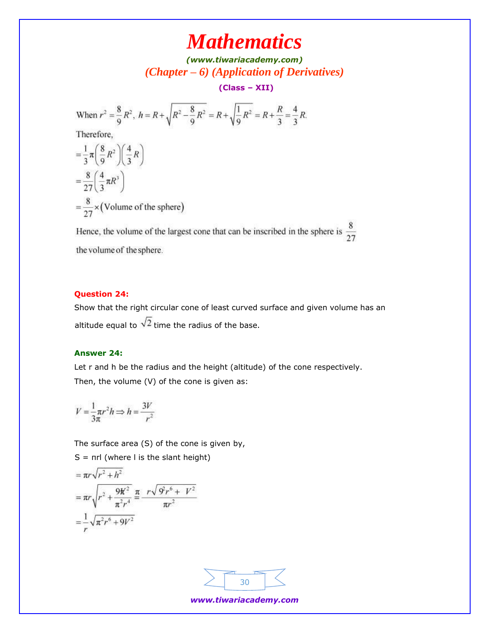*[\(www.tiwariacademy.com\)](http://www.tiwariacademy.com/) (Chapter – 6) (Application of Derivatives)*

**(Class – XII)**

When 
$$
r^2 = \frac{8}{9}R^2
$$
,  $h = R + \sqrt{R^2 - \frac{8}{9}R^2} = R + \sqrt{\frac{1}{9}R^2} = R + \frac{R}{3} = \frac{4}{3}R$ .  
\nTherefore,  
\n
$$
= \frac{1}{3}\pi \left(\frac{8}{9}R^2\right) \left(\frac{4}{3}R\right)
$$
\n
$$
= \frac{8}{27} \left(\frac{4}{3}\pi R^3\right)
$$
\n
$$
= \frac{8}{27} \times \text{(Volume of the sphere)}
$$

Hence, the volume of the largest cone that can be inscribed in the sphere is  $\frac{8}{27}$ the volume of the sphere.

### **Question 24:**

Show that the right circular cone of least curved surface and given volume has an altitude equal to  $\sqrt{2}$  time the radius of the base.

### **Answer 24:**

Let r and h be the radius and the height (altitude) of the cone respectively. Then, the volume (V) of the cone is given as:

$$
V = \frac{1}{3\pi} \pi r^2 h \Longrightarrow h = \frac{3V}{r^2}
$$

The surface area (S) of the cone is given by,

 $S = \pi r l$  (where I is the slant height)

$$
= \pi r \sqrt{r^2 + h^2}
$$
  
=  $\pi r \sqrt{r^2 + \frac{9K^2}{\pi^2 r^4}} \frac{\pi}{\pi} \frac{r \sqrt{9r^6 + V^2}}{\pi r^2}$   
=  $\frac{1}{r} \sqrt{\pi^2 r^6 + 9V^2}$ 

![](_page_29_Figure_13.jpeg)

*www.tiwariacademy.com*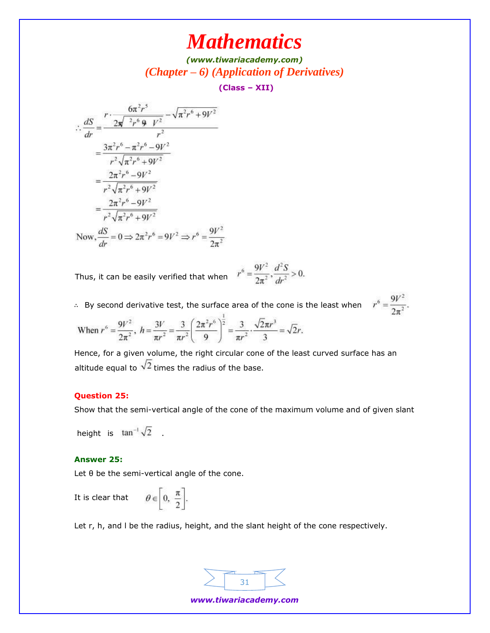*[\(www.tiwariacademy.com\)](http://www.tiwariacademy.com/) (Chapter – 6) (Application of Derivatives)*

**(Class – XII)**

$$
\therefore \frac{dS}{dr} = \frac{r \cdot \frac{6\pi^2 r^5}{2\pi^2 r^6 + 9V^2} - \sqrt{\pi^2 r^6 + 9V^2}}{r^2}
$$
  
= 
$$
\frac{3\pi^2 r^6 - \pi^2 r^6 - 9V^2}{r^2 \sqrt{\pi^2 r^6 + 9V^2}}
$$
  
= 
$$
\frac{2\pi^2 r^6 - 9V^2}{r^2 \sqrt{\pi^2 r^6 + 9V^2}}
$$
  
= 
$$
\frac{2\pi^2 r^6 - 9V^2}{r^2 \sqrt{\pi^2 r^6 + 9V^2}}
$$
  
Now, 
$$
\frac{dS}{dr} = 0 \Rightarrow 2\pi^2 r^6 = 9V^2 \Rightarrow r^6 = \frac{9V^2}{2\pi^2}
$$

Thus, it can be easily verified that when  $r$ 

$$
r^6 = \frac{9V^2}{2\pi^2}, \frac{d^2S}{dr^2} > 0.
$$

∴ By second derivative test, the surface area of the cone is the least when  $r'$ 

$$
^{6}=\frac{9V^{2}}{2\pi ^{2}}.
$$

When 
$$
r^6 = \frac{9V^2}{2\pi^2}
$$
,  $h = \frac{3V}{\pi r^2} = \frac{3}{\pi r^2} \left(\frac{2\pi^2 r^6}{9}\right)^{\frac{1}{2}} = \frac{3}{\pi r^2} \cdot \frac{\sqrt{2}\pi r^3}{3} = \sqrt{2}r$ .

Hence, for a given volume, the right circular cone of the least curved surface has an altitude equal to  $\sqrt{2}$  times the radius of the base.

### **Question 25:**

Show that the semi-vertical angle of the cone of the maximum volume and of given slant

height is  $\tan^{-1}\sqrt{2}$ .

### **Answer 25:**

Let θ be the semi-vertical angle of the cone.

It is clear that 
$$
\theta \in \left[0, \frac{\pi}{2}\right]
$$

Let r, h, and l be the radius, height, and the slant height of the cone respectively.

![](_page_30_Figure_17.jpeg)

*www.tiwariacademy.com*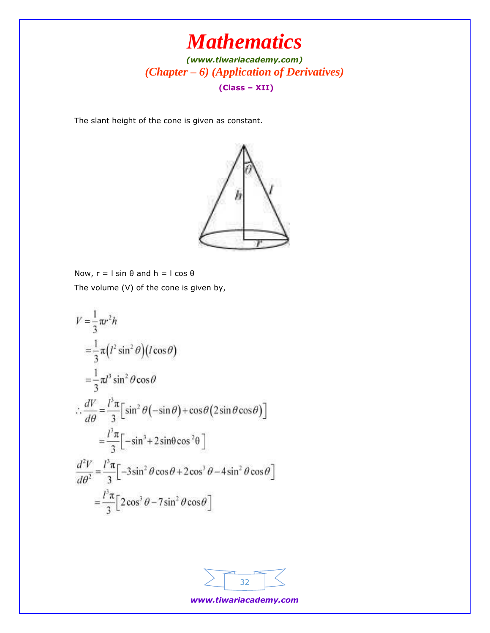*[\(www.tiwariacademy.com\)](http://www.tiwariacademy.com/) (Chapter – 6) (Application of Derivatives)* **(Class – XII)**

The slant height of the cone is given as constant.

![](_page_31_Figure_3.jpeg)

Now,  $r = l \sin θ$  and  $h = l \cos θ$ The volume (V) of the cone is given by,

$$
V = \frac{1}{3}\pi r^2 h
$$
  
\n
$$
= \frac{1}{3}\pi (l^2 \sin^2 \theta)(l \cos \theta)
$$
  
\n
$$
= \frac{1}{3}\pi l^3 \sin^2 \theta \cos \theta
$$
  
\n
$$
\therefore \frac{dV}{d\theta} = \frac{l^3 \pi}{3} \Big[ \sin^2 \theta(-\sin \theta) + \cos \theta (2 \sin \theta \cos \theta) \Big]
$$
  
\n
$$
= \frac{l^3 \pi}{3} \Big[ -\sin^3 \theta + 2 \sin \theta \cos^2 \theta \Big]
$$
  
\n
$$
\frac{d^2V}{d\theta^2} = \frac{l^3 \pi}{3} \Big[ -3 \sin^2 \theta \cos \theta + 2 \cos^3 \theta - 4 \sin^2 \theta \cos \theta \Big]
$$
  
\n
$$
= \frac{l^3 \pi}{3} \Big[ 2 \cos^3 \theta - 7 \sin^2 \theta \cos \theta \Big]
$$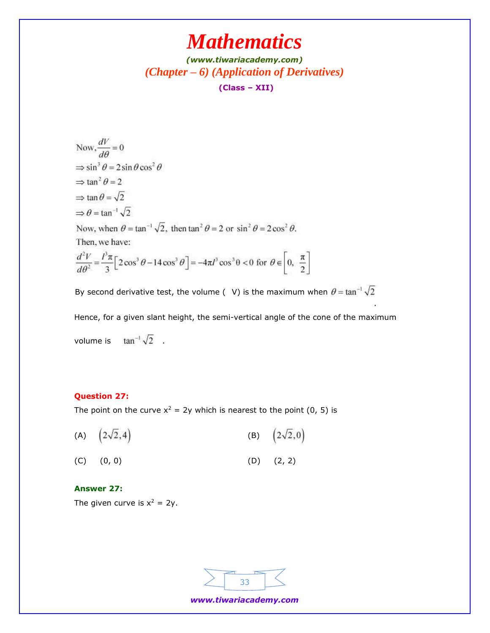## *[\(www.tiwariacademy.com\)](http://www.tiwariacademy.com/) (Chapter – 6) (Application of Derivatives)* **(Class – XII)**

Now,  $\frac{dV}{d\theta} = 0$  $\Rightarrow$  sin<sup>3</sup>  $\theta = 2$  sin  $\theta$  cos<sup>2</sup>  $\theta$  $\Rightarrow$  tan<sup>2</sup> $\theta$  = 2  $\Rightarrow$  tan  $\theta = \sqrt{2}$  $\Rightarrow \theta = \tan^{-1} \sqrt{2}$ Now, when  $\theta = \tan^{-1}\sqrt{2}$ , then  $\tan^2 \theta = 2$  or  $\sin^2 \theta = 2\cos^2 \theta$ . Then, we have:  $\frac{d^2V}{d\theta^2} = \frac{l^3\pi}{3} \Big[ 2\cos^3\theta - 14\cos^3\theta \Big] = -4\pi l^3 \cos^3\theta < 0 \text{ for } \theta \in \left[0, \frac{\pi}{2}\right]$ 

By second derivative test, the volume ( V) is the maximum when  $\theta = \tan^{-1} \sqrt{2}$ 

Hence, for a given slant height, the semi-vertical angle of the cone of the maximum volume is  $\tan^{-1}\sqrt{2}$ .

.

#### **Question 27:**

The point on the curve  $x^2 = 2y$  which is nearest to the point (0, 5) is

(A)  $(2\sqrt{2}, 4)$  (B)  $(2\sqrt{2},0)$ (C) (0, 0) (D) (2, 2)

### **Answer 27:**

The given curve is  $x^2 = 2y$ .

![](_page_32_Figure_10.jpeg)

*www.tiwariacademy.com*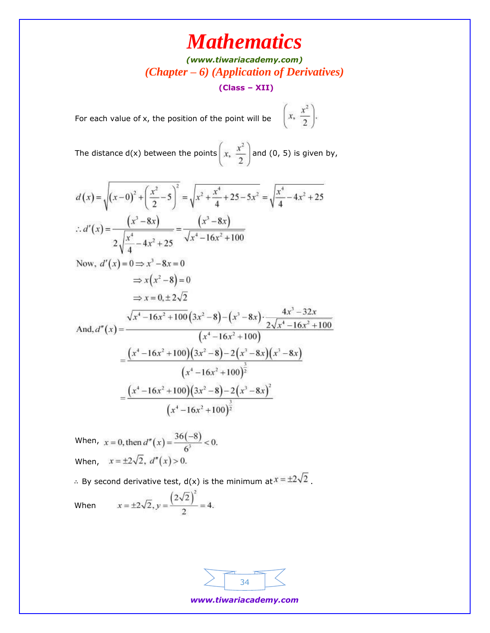## *[\(www.tiwariacademy.com\)](http://www.tiwariacademy.com/) (Chapter – 6) (Application of Derivatives)*

**(Class – XII)**

For each value of x, the position of the point will be  $\left(x, \frac{x^2}{2}\right)$ .

The distance d(x) between the points  $\left(x, \frac{x^2}{2}\right)$  and (0, 5) is given by,

$$
d(x) = \sqrt{(x-0)^2 + \left(\frac{x^2}{2} - 5\right)^2} = \sqrt{x^2 + \frac{x^4}{4} + 25 - 5x^2} = \sqrt{\frac{x^4}{4} - 4x^2 + 25}
$$
  
\n
$$
\therefore d'(x) = \frac{(x^3 - 8x)}{2\sqrt{\frac{x^4}{4} - 4x^2 + 25}} = \frac{(x^3 - 8x)}{\sqrt{x^4 - 16x^2 + 100}}
$$
  
\nNow,  $d'(x) = 0 \Rightarrow x^3 - 8x = 0$ 

$$
\Rightarrow x(x^2-8)=0
$$
  
\n
$$
\Rightarrow x = 0, \pm 2\sqrt{2}
$$
  
\nAnd, 
$$
d''(x) = \frac{\sqrt{x^4 - 16x^2 + 100}(3x^2 - 8) - (x^3 - 8x) \cdot \frac{4x^3 - 32x}{2\sqrt{x^4 - 16x^2 + 100}}}{(x^4 - 16x^2 + 100)}
$$
  
\n
$$
= \frac{(x^4 - 16x^2 + 100)(3x^2 - 8) - 2(x^3 - 8x)(x^3 - 8x)}{(x^4 - 16x^2 + 100)^{\frac{3}{2}}}
$$
  
\n
$$
= \frac{(x^4 - 16x^2 + 100)(3x^2 - 8) - 2(x^3 - 8x)^2}{(x^4 - 16x^2 + 100)^{\frac{3}{2}}}
$$

When,  $x = 0$ , then  $d''(x) = \frac{36(-8)}{6^3} < 0$ . When,  $x = \pm 2\sqrt{2}$ ,  $d''(x) > 0$ .

∴ By second derivative test, d(x) is the minimum at  $x = \pm 2\sqrt{2}$ .

When 
$$
x = \pm 2\sqrt{2}, y = \frac{(2\sqrt{2})^2}{2} = 4
$$
.

| 14. |  |
|-----|--|
|     |  |

*www.tiwariacademy.com*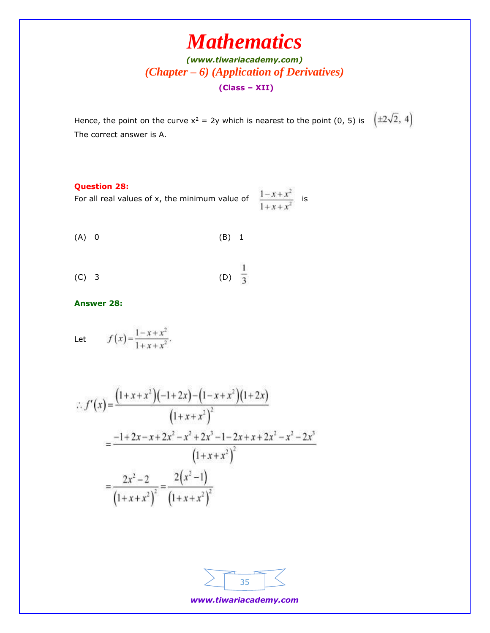## *[\(www.tiwariacademy.com\)](http://www.tiwariacademy.com/) (Chapter – 6) (Application of Derivatives)* **(Class – XII)**

Hence, the point on the curve  $x^2 = 2y$  which is nearest to the point (0, 5) is  $\left(\pm 2\sqrt{2}, 4\right)$ The correct answer is A.

### **Question 28:**

For all real values of x, the minimum value of  $\frac{1-x+x^2}{1+x+x^2}$  is

$$
(A) 0 \t\t (B) 1
$$

(C) 3 
$$
\frac{1}{3}
$$

**Answer 28:**

 $f(x) = \frac{1 - x + x^2}{1 + x + x^2}$ . Let

$$
f'(x) = \frac{\left(1+x+x^2\right)\left(-1+2x\right)-\left(1-x+x^2\right)\left(1+2x\right)}{\left(1+x+x^2\right)^2}
$$

$$
= \frac{-1+2x-x+2x^2-x^2+2x^3-1-2x+x+2x^2-x^2-2x^3}{\left(1+x+x^2\right)^2}
$$

$$
= \frac{2x^2-2}{\left(1+x+x^2\right)^2} = \frac{2\left(x^2-1\right)}{\left(1+x+x^2\right)^2}
$$

*www.tiwariacademy.com*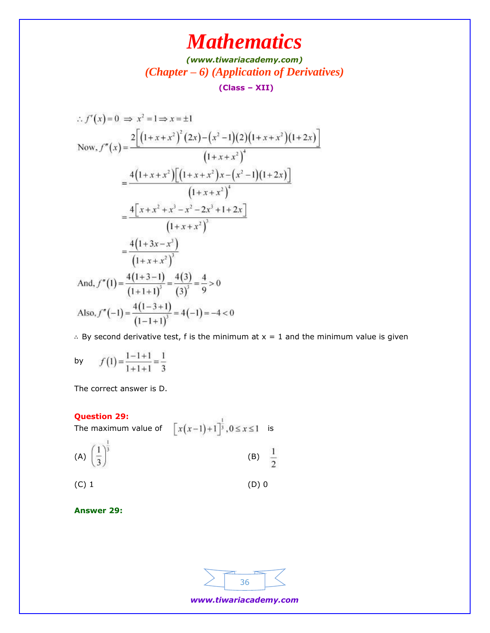## *[\(www.tiwariacademy.com\)](http://www.tiwariacademy.com/) (Chapter – 6) (Application of Derivatives)* **(Class – XII)**

$$
f'(x) = 0 \implies x^2 = 1 \implies x = \pm 1
$$
  
\nNow,  $f''(x) = \frac{2[(1 + x + x^2)^2 (2x) - (x^2 - 1)(2)(1 + x + x^2)(1 + 2x)]}{(1 + x + x^2)^4}$   
\n
$$
= \frac{4(1 + x + x^2)[(1 + x + x^2)x - (x^2 - 1)(1 + 2x)]}{(1 + x + x^2)^4}
$$
  
\n
$$
= \frac{4[x + x^2 + x^3 - x^2 - 2x^3 + 1 + 2x]}{(1 + x + x^2)^3}
$$
  
\n
$$
= \frac{4(1 + 3x - x^3)}{(1 + x + x^2)^3}
$$
  
\nAnd,  $f''(1) = \frac{4(1 + 3 - 1)}{(1 + 1 + 1)^3} = \frac{4(3)}{(3)^3} = \frac{4}{9} > 0$   
\nAlso,  $f''(-1) = \frac{4(1 - 3 + 1)}{(1 - 1 + 1)^3} = 4(-1) = -4 < 0$ 

∴ By second derivative test, f is the minimum at x = 1 and the minimum value is given

by 
$$
f(1) = \frac{1-1+1}{1+1+1} = \frac{1}{3}
$$

The correct answer is D.

### **Question 29:**

**Question 29:**<br>The maximum value of  $\left[x(x-1)+1\right]^{\frac{1}{3}}, 0 \leq x \leq 1$  is  $\overline{\mathcal{G}}$ 

(A) 
$$
\left(\frac{1}{3}\right)^{\frac{1}{3}}
$$
 (B)  $\frac{1}{2}$ 

 $(C) 1$  (D) 0

**Answer 29:**

![](_page_35_Figure_11.jpeg)

*www.tiwariacademy.com*